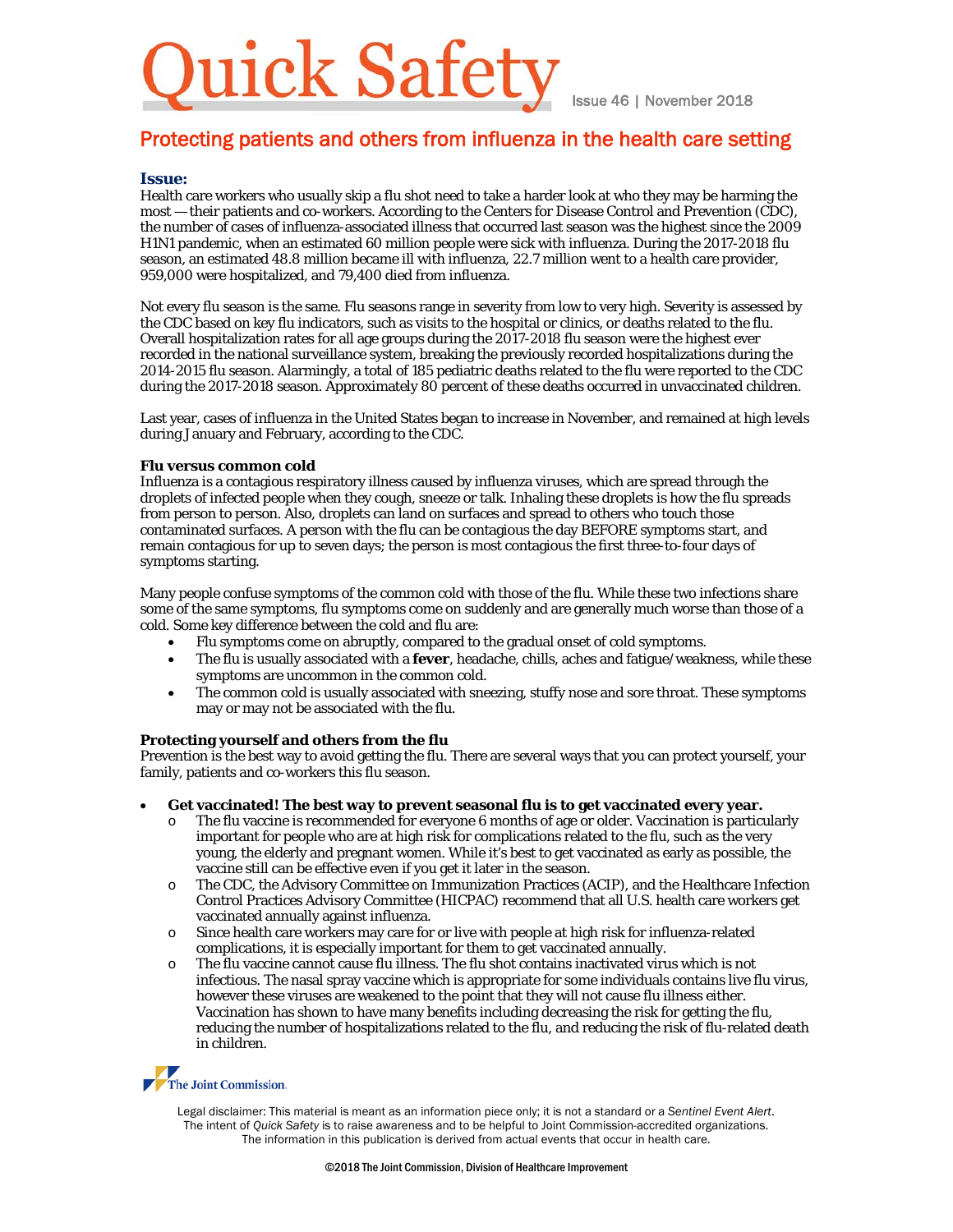# ick Safety

Issue 46 | November 2018

# Protecting patients and others from influenza in the health care setting

## **Issue:**

Health care workers who usually skip a flu shot need to take a harder look at who they may be harming the most — their patients and co-workers. According to the Centers for Disease Control and Prevention (CDC), the number of cases of influenza-associated illness that occurred last season was the highest since the 2009 H1N1 pandemic, when an estimated 60 million people were sick with influenza. During the 2017-2018 flu season, an estimated 48.8 million became ill with influenza, 22.7 million went to a health care provider, 959,000 were hospitalized, and 79,400 died from influenza.

Not every flu season is the same. Flu seasons range in severity from low to very high. Severity is assessed by the CDC based on key flu indicators, such as visits to the hospital or clinics, or deaths related to the flu. Overall hospitalization rates for all age groups during the 2017-2018 flu season were the highest ever recorded in the national surveillance system, breaking the previously recorded hospitalizations during the 2014-2015 flu season. Alarmingly, a total of 185 pediatric deaths related to the flu were reported to the CDC during the 2017-2018 season. Approximately 80 percent of these deaths occurred in unvaccinated children.

Last year, cases of influenza in the United States began to increase in November, and remained at high levels during January and February, according to the CDC.

#### **Flu versus common cold**

Influenza is a contagious respiratory illness caused by influenza viruses, which are spread through the droplets of infected people when they cough, sneeze or talk. Inhaling these droplets is how the flu spreads from person to person. Also, droplets can land on surfaces and spread to others who touch those contaminated surfaces. A person with the flu can be contagious the day BEFORE symptoms start, and remain contagious for up to seven days; the person is most contagious the first three-to-four days of symptoms starting.

Many people confuse symptoms of the common cold with those of the flu. While these two infections share some of the same symptoms, flu symptoms come on suddenly and are generally much worse than those of a cold. Some key difference between the cold and flu are:

- Flu symptoms come on abruptly, compared to the gradual onset of cold symptoms.
- The flu is usually associated with a **fever**, headache, chills, aches and fatigue/weakness, while these symptoms are uncommon in the common cold.
- The common cold is usually associated with sneezing, stuffy nose and sore throat. These symptoms may or may not be associated with the flu.

#### **Protecting yourself and others from the flu**

Prevention is the best way to avoid getting the flu. There are several ways that you can protect yourself, your family, patients and co-workers this flu season.

- **Get vaccinated! The best way to prevent seasonal flu is to get vaccinated every year.**
	- o The flu vaccine is recommended for everyone 6 months of age or older. Vaccination is particularly important for people who are at high risk for complications related to the flu, such as the very young, the elderly and pregnant women. While it's best to get vaccinated as early as possible, the vaccine still can be effective even if you get it later in the season.
	- o The CDC, the Advisory Committee on Immunization Practices (ACIP), and the Healthcare Infection Control Practices Advisory Committee (HICPAC) recommend that all U.S. health care workers get vaccinated annually against influenza.
	- o Since health care workers may care for or live with people at high risk for influenza-related complications, it is especially important for them to get vaccinated annually.
	- o The flu vaccine cannot cause flu illness. The flu shot contains inactivated virus which is not infectious. The nasal spray vaccine which is appropriate for some individuals contains live flu virus, however these viruses are weakened to the point that they will not cause flu illness either. Vaccination has shown to have many benefits including decreasing the risk for getting the flu, reducing the number of hospitalizations related to the flu, and reducing the risk of flu-related death in children.



Legal disclaimer: This material is meant as an information piece only; it is not a standard or a *Sentinel Event Alert*. The intent of *Quick Safety* is to raise awareness and to be helpful to Joint Commission-accredited organizations. The information in this publication is derived from actual events that occur in health care.